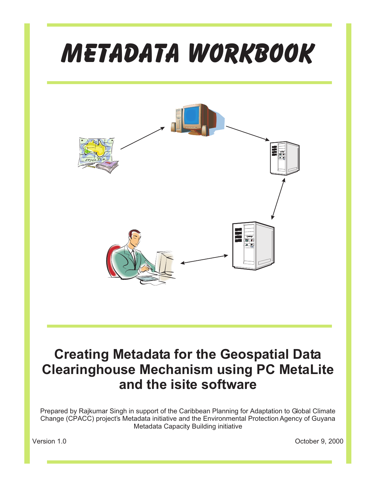# *Metadata Workbook*



# **Creating Metadata for the Geospatial Data Clearinghouse Mechanism using PC MetaLite and the isite software**

Prepared by Rajkumar Singh in support of the Caribbean Planning for Adaptation to Global Climate Change (CPACC) project's Metadata initiative and the Environmental Protection Agency of Guyana Metadata Capacity Building initiative

Version 1.0 October 9, 2000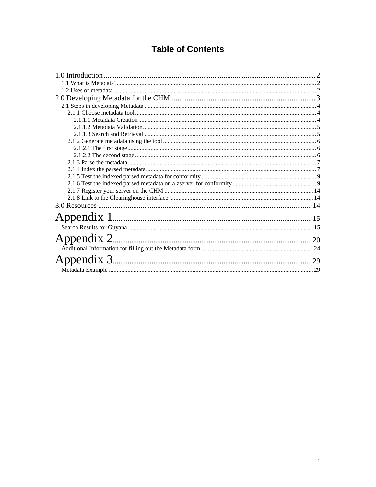## **Table of Contents**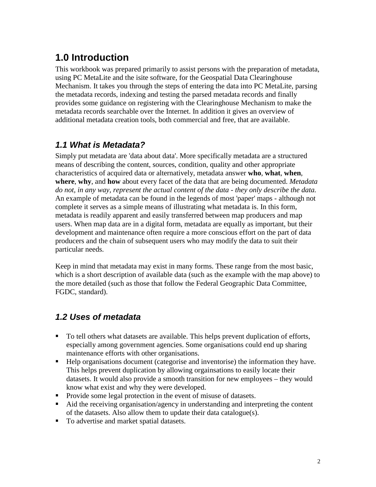# <span id="page-2-0"></span>**1.0 Introduction**

This workbook was prepared primarily to assist persons with the preparation of metadata, using PC MetaLite and the isite software, for the Geospatial Data Clearinghouse Mechanism. It takes you through the steps of entering the data into PC MetaLite, parsing the metadata records, indexing and testing the parsed metadata records and finally provides some guidance on registering with the Clearinghouse Mechanism to make the metadata records searchable over the Internet. In addition it gives an overview of additional metadata creation tools, both commercial and free, that are available.

## *1.1 What is Metadata?*

Simply put metadata are 'data about data'. More specifically metadata are a structured means of describing the content, sources, condition, quality and other appropriate characteristics of acquired data or alternatively, metadata answer **who**, **what**, **when**, **where**, **why**, and **how** about every facet of the data that are being documented. *Metadata do not, in any way, represent the actual content of the data - they only describe the data.* An example of metadata can be found in the legends of most 'paper' maps - although not complete it serves as a simple means of illustrating what metadata is. In this form, metadata is readily apparent and easily transferred between map producers and map users. When map data are in a digital form, metadata are equally as important, but their development and maintenance often require a more conscious effort on the part of data producers and the chain of subsequent users who may modify the data to suit their particular needs.

Keep in mind that metadata may exist in many forms. These range from the most basic, which is a short description of available data (such as the example with the map above) to the more detailed (such as those that follow the Federal Geographic Data Committee, FGDC, standard).

## *1.2 Uses of metadata*

- To tell others what datasets are available. This helps prevent duplication of efforts, especially among government agencies. Some organisations could end up sharing maintenance efforts with other organisations.
- Help organisations document (categorise and inventorise) the information they have. This helps prevent duplication by allowing orgainsations to easily locate their datasets. It would also provide a smooth transition for new employees – they would know what exist and why they were developed.
- **Provide some legal protection in the event of misuse of datasets.**
- Aid the receiving organisation/agency in understanding and interpreting the content of the datasets. Also allow them to update their data catalogue(s).
- To advertise and market spatial datasets.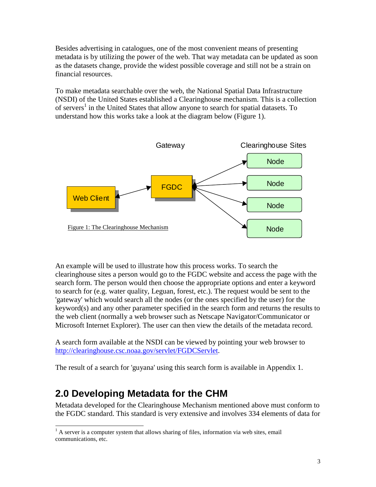Besides advertising in catalogues, one of the most convenient means of presenting metadata is by utilizing the power of the web. That way metadata can be updated as soon as the datasets change, provide the widest possible coverage and still not be a strain on financial resources.

To make metadata searchable over the web, the National Spatial Data Infrastructure (NSDI) of the United States established a Clearinghouse mechanism. This is a collection of servers<sup>1</sup> in the United States that allow anyone to search for spatial datasets. To understand how this works take a look at the diagram below (Figure 1).



An example will be used to illustrate how this process works. To search the clearinghouse sites a person would go to the FGDC website and access the page with the search form. The person would then choose the appropriate options and enter a keyword to search for (e.g. water quality, Leguan, forest, etc.). The request would be sent to the 'gateway' which would search all the nodes (or the ones specified by the user) for the keyword(s) and any other parameter specified in the search form and returns the results to the web client (normally a web browser such as Netscape Navigator/Communicator or Microsoft Internet Explorer). The user can then view the details of the metadata record.

A search form available at the NSDI can be viewed by pointing your web browser to [http://clearinghouse.csc.noaa.gov/servlet/FGDCServlet.](http://clearinghouse.csc.noaa.gov/servlet/NOAA_CSCgateway)

The result of a search for 'guyana' using this search form is available in Appendix 1.

# **2.0 Developing Metadata for the CHM**

Metadata developed for the Clearinghouse Mechanism mentioned above must conform to the FGDC standard. This standard is very extensive and involves 334 elements of data for

<sup>&</sup>lt;sup>1</sup> A server is a computer system that allows sharing of files, information via web sites, email communications, etc.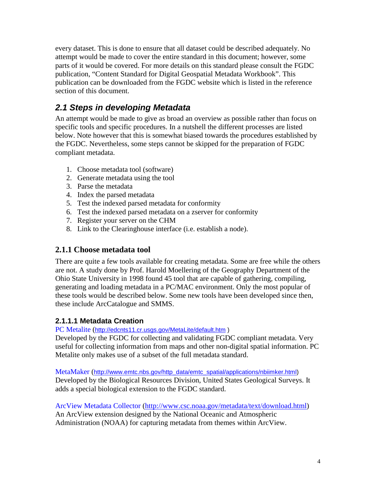<span id="page-4-0"></span>every dataset. This is done to ensure that all dataset could be described adequately. No attempt would be made to cover the entire standard in this document; however, some parts of it would be covered. For more details on this standard please consult the FGDC publication, "Content Standard for Digital Geospatial Metadata Workbook". This publication can be downloaded from the FGDC website which is listed in the reference section of this document.

## *2.1 Steps in developing Metadata*

An attempt would be made to give as broad an overview as possible rather than focus on specific tools and specific procedures. In a nutshell the different processes are listed below. Note however that this is somewhat biased towards the procedures established by the FGDC. Nevertheless, some steps cannot be skipped for the preparation of FGDC compliant metadata.

- 1. Choose metadata tool (software)
- 2. Generate metadata using the tool
- 3. Parse the metadata
- 4. Index the parsed metadata
- 5. Test the indexed parsed metadata for conformity
- 6. Test the indexed parsed metadata on a zserver for conformity
- 7. Register your server on the CHM
- 8. Link to the Clearinghouse interface (i.e. establish a node).

#### **2.1.1 Choose metadata tool**

There are quite a few tools available for creating metadata. Some are free while the others are not. A study done by Prof. Harold Moellering of the Geography Department of the Ohio State University in 1998 found 45 tool that are capable of gathering, compiling, generating and loading metadata in a PC/MAC environment. Only the most popular of these tools would be described below. Some new tools have been developed since then, these include ArcCatalogue and SMMS.

#### **2.1.1.1 Metadata Creation**

#### PC Metalite ([http://edcnts11.cr.usgs.gov/MetaLite/default.htm \)](http://edcnts2.cr.usgs.gov/MetaLite/MetaLite.htm)

Developed by the FGDC for collecting and validating FGDC compliant metadata. Very useful for collecting information from maps and other non-digital spatial information. PC Metalite only makes use of a subset of the full metadata standard.

MetaMaker ([http://www.emtc.nbs.gov/http\\_data/emtc\\_spatial/applications/nbiimker.html\)](http://www.emtc.nbs.gov/http_data/emtc_spatial/applications/nbiimker.html)  Developed by the Biological Resources Division, United States Geological Surveys. It adds a special biological extension to the FGDC standard.

ArcView Metadata Collector ([http://www.csc.noaa.gov/metadata/text/download.html\)](http://www.csc.noaa.gov/metadata/text/download.html) An ArcView extension designed by the National Oceanic and Atmospheric Administration (NOAA) for capturing metadata from themes within ArcView.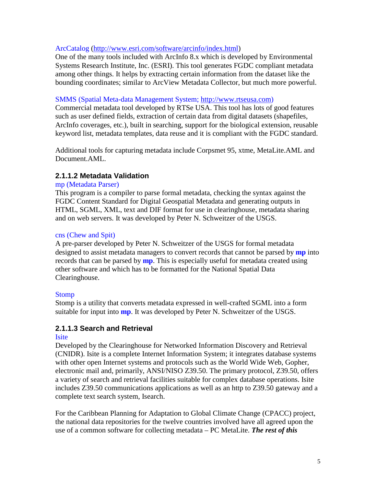#### <span id="page-5-0"></span>ArcCatalog (ht[tp://www.esri.com/software/arcinfo/index.html\)](http://www.esri.com/software/arcinfo/index.html)

One of the many tools included with ArcInfo 8.x which is developed by Environmental Systems Research Institute, Inc. (ESRI). This tool generates FGDC compliant metadata among other things. It helps by extracting certain information from the dataset like the bounding coordinates; similar to ArcView Metadata Collector, but much more powerful.

#### SMMS (Spatial Meta-data Management System; [http://www.rtseusa.com\)](http://www.rtseusa.com/)

Commercial metadata tool developed by RTSe USA. This tool has lots of good features such as user defined fields, extraction of certain data from digital datasets (shapefiles, ArcInfo coverages, etc.), built in searching, support for the biological extension, reusable keyword list, metadata templates, data reuse and it is compliant with the FGDC standard.

Additional tools for capturing metadata include Corpsmet 95, xtme, MetaLite.AML and Document.AML.

#### **2.1.1.2 Metadata Validation**

#### mp (Metadata Parser)

This program is a compiler to parse formal metadata, checking the syntax against the FGDC Content Standard for Digital Geospatial Metadata and generating outputs in HTML, SGML, XML, text and DIF format for use in clearinghouse, metadata sharing and on web servers. It was developed by Peter N. Schweitzer of the USGS.

#### cns (Chew and Spit)

A pre-parser developed by Peter N. Schweitzer of the USGS for formal metadata designed to assist metadata managers to convert records that cannot be parsed by **mp** into records that can be parsed by **mp**. This is especially useful for metadata created using other software and which has to be formatted for the National Spatial Data Clearinghouse.

#### Stomp

Stomp is a utility that converts metadata expressed in well-crafted SGML into a form suitable for input into **mp**. It was developed by Peter N. Schweitzer of the USGS.

#### **2.1.1.3 Search and Retrieval**

#### **Isite**

Developed by the Clearinghouse for Networked Information Discovery and Retrieval (CNIDR). Isite is a complete Internet Information System; it integrates database systems with other open Internet systems and protocols such as the World Wide Web, Gopher, electronic mail and, primarily, ANSI/NISO Z39.50. The primary protocol, Z39.50, offers a variety of search and retrieval facilities suitable for complex database operations. Isite includes Z39.50 communications applications as well as an http to Z39.50 gateway and a complete text search system, Isearch.

For the Caribbean Planning for Adaptation to Global Climate Change (CPACC) project, the national data repositories for the twelve countries involved have all agreed upon the use of a common software for collecting metadata – PC MetaLite. *The rest of this*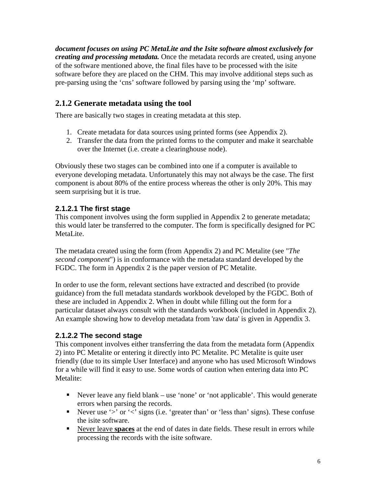<span id="page-6-0"></span>*document focuses on using PC MetaLite and the Isite software almost exclusively for creating and processing metadata.* Once the metadata records are created, using anyone of the software mentioned above, the final files have to be processed with the isite software before they are placed on the CHM. This may involve additional steps such as pre-parsing using the 'cns' software followed by parsing using the 'mp' software.

#### **2.1.2 Generate metadata using the tool**

There are basically two stages in creating metadata at this step.

- 1. Create metadata for data sources using printed forms (see Appendix 2).
- 2. Transfer the data from the printed forms to the computer and make it searchable over the Internet (i.e. create a clearinghouse node).

Obviously these two stages can be combined into one if a computer is available to everyone developing metadata. Unfortunately this may not always be the case. The first component is about 80% of the entire process whereas the other is only 20%. This may seem surprising but it is true.

#### **2.1.2.1 The first stage**

This component involves using the form supplied in Appendix 2 to generate metadata; this would later be transferred to the computer. The form is specifically designed for PC MetaLite.

The metadata created using the form (from Appendix 2) and PC Metalite (see "*The second component*") is in conformance with the metadata standard developed by the FGDC. The form in Appendix 2 is the paper version of PC Metalite.

In order to use the form, relevant sections have extracted and described (to provide guidance) from the full metadata standards workbook developed by the FGDC. Both of these are included in Appendix 2. When in doubt while filling out the form for a particular dataset always consult with the standards workbook (included in Appendix 2). An example showing how to develop metadata from 'raw data' is given in Appendix 3.

#### **2.1.2.2 The second stage**

This component involves either transferring the data from the metadata form (Appendix 2) into PC Metalite or entering it directly into PC Metalite. PC Metalite is quite user friendly (due to its simple User Interface) and anyone who has used Microsoft Windows for a while will find it easy to use. Some words of caution when entering data into PC Metalite:

- Never leave any field blank use 'none' or 'not applicable'. This would generate errors when parsing the records.
- Never use ' $>$ ' or ' $<$ ' signs (i.e. 'greater than' or 'less than' signs). These confuse the isite software.
- Never leave **spaces** at the end of dates in date fields. These result in errors while processing the records with the isite software.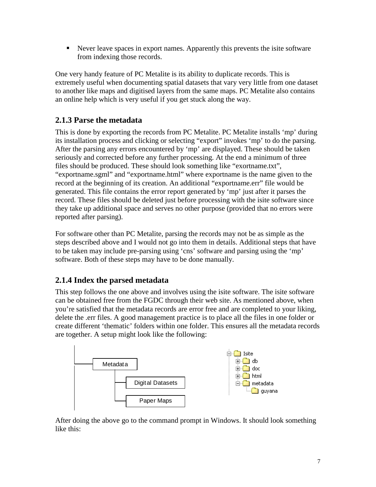<span id="page-7-0"></span> Never leave spaces in export names. Apparently this prevents the isite software from indexing those records.

One very handy feature of PC Metalite is its ability to duplicate records. This is extremely useful when documenting spatial datasets that vary very little from one dataset to another like maps and digitised layers from the same maps. PC Metalite also contains an online help which is very useful if you get stuck along the way.

#### **2.1.3 Parse the metadata**

This is done by exporting the records from PC Metalite. PC Metalite installs 'mp' during its installation process and clicking or selecting "export" invokes 'mp' to do the parsing. After the parsing any errors encountered by 'mp' are displayed. These should be taken seriously and corrected before any further processing. At the end a minimum of three files should be produced. These should look something like "exortname.txt", "exportname.sgml" and "exportname.html" where exportname is the name given to the record at the beginning of its creation. An additional "exportname.err" file would be generated. This file contains the error report generated by 'mp' just after it parses the record. These files should be deleted just before processing with the isite software since they take up additional space and serves no other purpose (provided that no errors were reported after parsing).

For software other than PC Metalite, parsing the records may not be as simple as the steps described above and I would not go into them in details. Additional steps that have to be taken may include pre-parsing using 'cns' software and parsing using the 'mp' software. Both of these steps may have to be done manually.

#### **2.1.4 Index the parsed metadata**

This step follows the one above and involves using the isite software. The isite software can be obtained free from the FGDC through their web site. As mentioned above, when you're satisfied that the metadata records are error free and are completed to your liking, delete the .err files. A good management practice is to place all the files in one folder or create different 'thematic' folders within one folder. This ensures all the metadata records are together. A setup might look like the following:



After doing the above go to the command prompt in Windows. It should look something like this: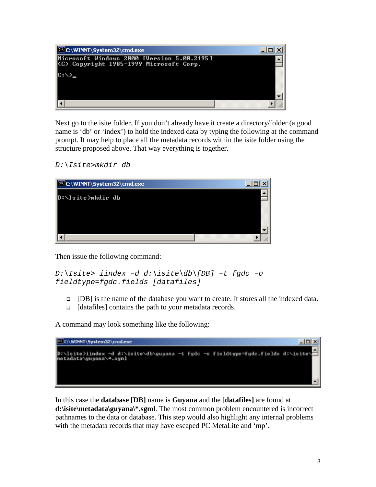

Next go to the isite folder. If you don't already have it create a directory/folder (a good name is 'db' or 'index') to hold the indexed data by typing the following at the command prompt. It may help to place all the metadata records within the isite folder using the structure proposed above. That way everything is together.

```
D:\Isite>mkdir db
```


Then issue the following command:

```
D:\Isite> iindex –d d:\isite\db\[DB] –t fgdc –o
fieldtype=fgdc.fields [datafiles]
```
- [DB] is the name of the database you want to create. It stores all the indexed data.
- □ [datafiles] contains the path to your metadata records.

A command may look something like the following:



In this case the **database [DB]** name is **Guyana** and the [**datafiles]** are found at **d:\isite\metadata\guyana\\*.sgml**. The most common problem encountered is incorrect pathnames to the data or database. This step would also highlight any internal problems with the metadata records that may have escaped PC MetaLite and 'mp'.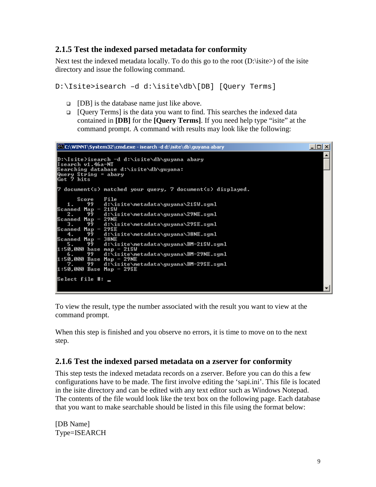#### <span id="page-9-0"></span>**2.1.5 Test the indexed parsed metadata for conformity**

Next test the indexed metadata locally. To do this go to the root (D:\isite>) of the isite directory and issue the following command.

D:\Isite>isearch –d d:\isite\db\[DB] [Query Terms]

- $\Box$  [DB] is the database name just like above.
- $\Box$  [Query Terms] is the data you want to find. This searches the indexed data contained in **[DB]** for the **[Query Terms]**. If you need help type "isite" at the command prompt. A command with results may look like the following:



To view the result, type the number associated with the result you want to view at the command prompt.

When this step is finished and you observe no errors, it is time to move on to the next step.

#### **2.1.6 Test the indexed parsed metadata on a zserver for conformity**

This step tests the indexed metadata records on a zserver. Before you can do this a few configurations have to be made. The first involve editing the 'sapi.ini'. This file is located in the isite directory and can be edited with any text editor such as Windows Notepad. The contents of the file would look like the text box on the following page. Each database that you want to make searchable should be listed in this file using the format below:

[DB Name] Type=ISEARCH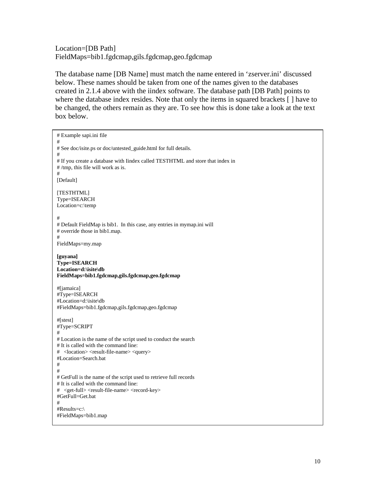Location=[DB Path] FieldMaps=bib1.fgdcmap,gils.fgdcmap,geo.fgdcmap

The database name [DB Name] must match the name entered in 'zserver.ini' discussed below. These names should be taken from one of the names given to the databases created in 2.1.4 above with the iindex software. The database path [DB Path] points to where the database index resides. Note that only the items in squared brackets [ ] have to be changed, the others remain as they are. To see how this is done take a look at the text box below.

```
# Example sapi.ini file 
# 
# See doc/isite.ps or doc/untested_guide.html for full details. 
# 
# If you create a database with Iindex called TESTHTML and store that index in 
# /tmp, this file will work as is. 
# 
[Default] 
[TESTHTML] 
Type=ISEARCH 
Location=c:\temp 
# 
# Default FieldMap is bib1. In this case, any entries in mymap.ini will 
# override those in bib1.map. 
# 
FieldMaps=my.map 
[guyana] 
Type=ISEARCH 
Location=d:\isite\db 
FieldMaps=bib1.fgdcmap,gils.fgdcmap,geo.fgdcmap
#[jamaica] 
#Type=ISEARCH 
#Location=d:\isite\db 
#FieldMaps=bib1.fgdcmap,gils.fgdcmap,geo.fgdcmap 
#[stest] 
#Type=SCRIPT 
# 
# Location is the name of the script used to conduct the search 
# It is called with the command line: 
# <location> <result-file-name> <query> 
#Location=Search.bat 
# 
# 
# GetFull is the name of the script used to retrieve full records 
# It is called with the command line: 
# <get-full> <result-file-name> <record-key> 
#GetFull=Get.bat 
# 
#Results=c:\ 
#FieldMaps=bib1.map
```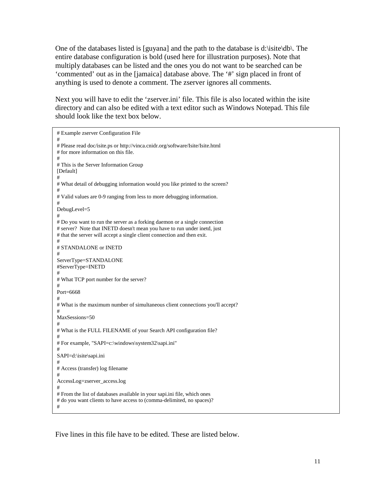One of the databases listed is [guyana] and the path to the database is d:\isite\db\. The entire database configuration is bold (used here for illustration purposes). Note that multiply databases can be listed and the ones you do not want to be searched can be 'commented' out as in the [jamaica] database above. The '#' sign placed in front of anything is used to denote a comment. The zserver ignores all comments.

Next you will have to edit the 'zserver.ini' file. This file is also located within the isite directory and can also be edited with a text editor such as Windows Notepad. This file should look like the text box below.

```
# Example zserver Configuration File 
# 
# Please read doc/isite.ps or http://vinca.cnidr.org/software/Isite/Isite.html 
# for more information on this file. 
# 
# This is the Server Information Group 
[Default] 
# 
# What detail of debugging information would you like printed to the screen? 
# 
# Valid values are 0-9 ranging from less to more debugging information. 
# 
DebugLevel=5 
# 
# Do you want to run the server as a forking daemon or a single connection 
# server? Note that INETD doesn't mean you have to run under inetd, just 
# that the server will accept a single client connection and then exit. 
# 
# STANDALONE or INETD 
# 
ServerType=STANDALONE 
#ServerType=INETD 
# 
# What TCP port number for the server? 
# 
Port=6668 
# 
# What is the maximum number of simultaneous client connections you'll accept? 
# 
MaxSessions=50 
# 
# What is the FULL FILENAME of your Search API configuration file? 
# 
# For example, "SAPI=c:\windows\system32\sapi.ini" 
# 
SAPI=d:\isite\sapi.ini 
# 
# Access (transfer) log filename 
# 
AccessLog=zserver_access.log 
# 
# From the list of databases available in your sapi.ini file, which ones 
# do you want clients to have access to (comma-delimited, no spaces)?
#
```
Five lines in this file have to be edited. These are listed below.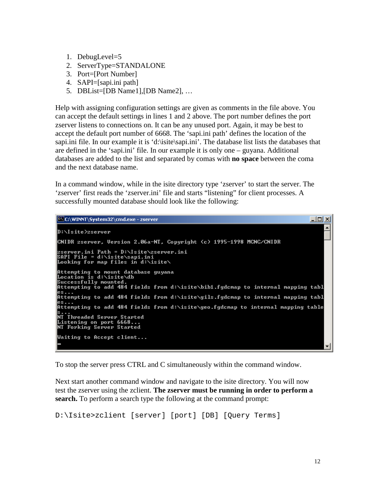- 1. DebugLevel=5
- 2. ServerType=STANDALONE
- 3. Port=[Port Number]
- 4. SAPI=[sapi.ini path]
- 5. DBList=[DB Name1],[DB Name2], …

Help with assigning configuration settings are given as comments in the file above. You can accept the default settings in lines 1 and 2 above. The port number defines the port zserver listens to connections on. It can be any unused port. Again, it may be best to accept the default port number of 6668. The 'sapi.ini path' defines the location of the sapi.ini file. In our example it is 'd:\isite\sapi.ini'. The database list lists the databases that are defined in the 'sapi.ini' file. In our example it is only one – guyana. Additional databases are added to the list and separated by comas with **no space** between the coma and the next database name.

In a command window, while in the isite directory type 'zserver' to start the server. The 'zserver' first reads the 'zserver.ini' file and starts "listening" for client processes. A successfully mounted database should look like the following:



To stop the server press CTRL and C simultaneously within the command window.

Next start another command window and navigate to the isite directory. You will now test the zserver using the zclient. **The zserver must be running in order to perform a search.** To perform a search type the following at the command prompt:

```
D:\Isite>zclient [server] [port] [DB] [Query Terms]
```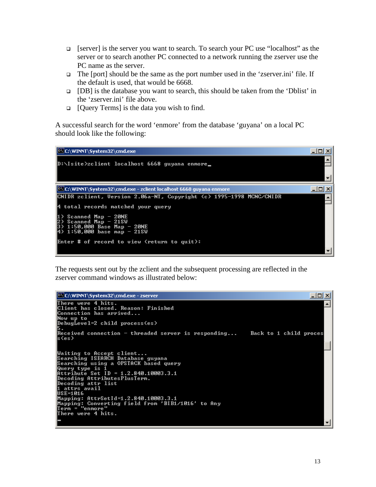- [server] is the server you want to search. To search your PC use "localhost" as the server or to search another PC connected to a network running the zserver use the PC name as the server.
- $\Box$  The [port] should be the same as the port number used in the 'zserver.ini' file. If the default is used, that would be 6668.
- [DB] is the database you want to search, this should be taken from the 'Dblist' in the 'zserver.ini' file above.
- □ [Query Terms] is the data you wish to find.

A successful search for the word 'enmore' from the database 'guyana' on a local PC should look like the following:



The requests sent out by the zclient and the subsequent processing are reflected in the zserver command windows as illustrated below:

```
C:\WINNT\System32\cmd.exe - zserver
                                                                                                                                                                                \Box\Box\timesThere were 4 hits.<br>Client has closed. Reason: Finished<br>Connection has arrived...
                                                                                                                                                                                          ᅬ
Now up to<br>Now up to<br>DebugLevel=2 child process(es)
\overline{\text{Received}} connection - threaded server is responding...
                                                                                                                                      Back to 1 child proces
ls(es)
Waiting to Accept client...<br>Searching ISEARCH Database guyana<br>Searching using a OPSTACK based query
Searching using a OPSTACK based query<br>Query type is 1<br>Attribute Set ID = 1.2.840.10003.3.1<br>Decoding AttributesPlusTerm.<br>Decoding attr list<br>des-1016<br>1 attrs avail<br>Manuing Attributed 1.2.840.10003.3.1
uss-asuo<br>Mapping: AttrSetId=1.2.840.10003.3.1<br>Mapping: Converting field from 'BIB1/1016' to Any<br>Ierm = "enmore"
There were 4 hits.
```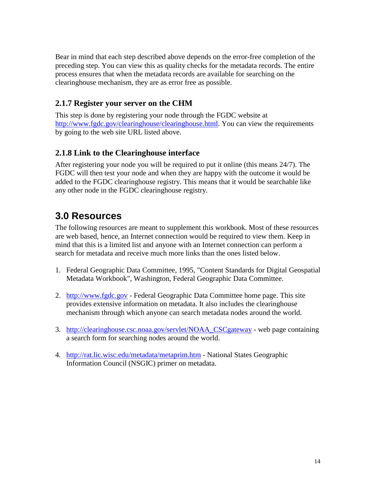<span id="page-14-0"></span>Bear in mind that each step described above depends on the error-free completion of the preceding step. You can view this as quality checks for the metadata records. The entire process ensures that when the metadata records are available for searching on the clearinghouse mechanism, they are as error free as possible.

#### **2.1.7 Register your server on the CHM**

This step is done by registering your node through the FGDC website at [http://www.fgdc.gov/clearinghouse/clearinghouse.html.](http://www.fgdc.gov/clearinghouse/clearinghouse.html) You can view the requirements by going to the web site URL listed above.

#### **2.1.8 Link to the Clearinghouse interface**

After registering your node you will be required to put it online (this means 24/7). The FGDC will then test your node and when they are happy with the outcome it would be added to the FGDC clearinghouse registry. This means that it would be searchable like any other node in the FGDC clearinghouse registry.

# **3.0 Resources**

The following resources are meant to supplement this workbook. Most of these resources are web based, hence, an Internet connection would be required to view them. Keep in mind that this is a limited list and anyone with an Internet connection can perform a search for metadata and receive much more links than the ones listed below.

- 1. Federal Geographic Data Committee, 1995, "Content Standards for Digital Geospatial Metadata Workbook", Washington, Federal Geographic Data Committee.
- 2. [http://www.fgdc.gov](http://www.fgdc.gov/)  Federal Geographic Data Committee home page. This site provides extensive information on metadata. It also includes the clearinghouse mechanism through which anyone can search metadata nodes around the world.
- 3. [http://clearinghouse.csc.noaa.gov/servlet/NOAA\\_CSCgateway](http://clearinghouse.csc.noaa.gov/servlet/NOAA_CSCgateway)  web page containing a search form for searching nodes around the world.
- 4. <http://rat.lic.wisc.edu/metadata/metaprim.htm> National States Geographic Information Council (NSGIC) primer on metadata.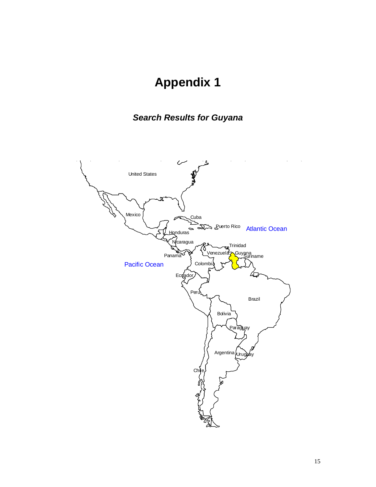# **Appendix 1**

# *Search Results for Guyana*

<span id="page-15-0"></span>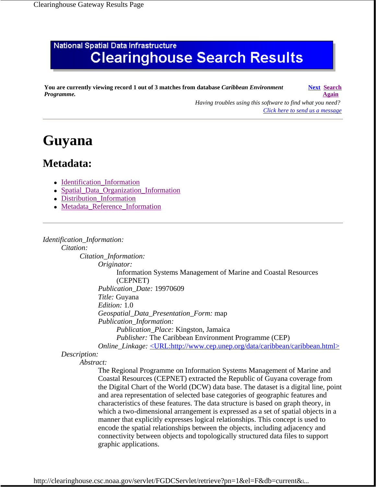# **National Spatial Data Infrastructure Clearinghouse Search Results**

**You are currently viewing record 1 out of 3 matches from database** *Caribbean Environment Programme.*

**Next Search Again** 

*Having troubles using this software to find what you need? Click here to send us a message*

# **Guyana**

## **Metadata:**

- Identification\_Information
- Spatial\_Data\_Organization\_Information
- Distribution\_Information
- Metadata Reference Information

#### *Identification\_Information:*

*Citation:*

*Citation\_Information:*

*Originator:*

Information Systems Management of Marine and Coastal Resources (CEPNET)

*Publication\_Date:* 19970609

*Title:* Guyana

*Edition:* 1.0

*Geospatial\_Data\_Presentation\_Form:* map

*Publication\_Information:*

*Publication\_Place:* Kingston, Jamaica

*Publisher:* The Caribbean Environment Programme (CEP)

*Online\_Linkage:* <URL:http://www.cep.unep.org/data/caribbean/caribbean.html>

#### *Description:*

*Abstract:*

The Regional Programme on Information Systems Management of Marine and Coastal Resources (CEPNET) extracted the Republic of Guyana coverage from the Digital Chart of the World (DCW) data base. The dataset is a digital line, point and area representation of selected base categories of geographic features and characteristics of these features. The data structure is based on graph theory, in which a two-dimensional arrangement is expressed as a set of spatial objects in a manner that explicitly expresses logical relationships. This concept is used to encode the spatial relationships between the objects, including adjacency and connectivity between objects and topologically structured data files to support graphic applications.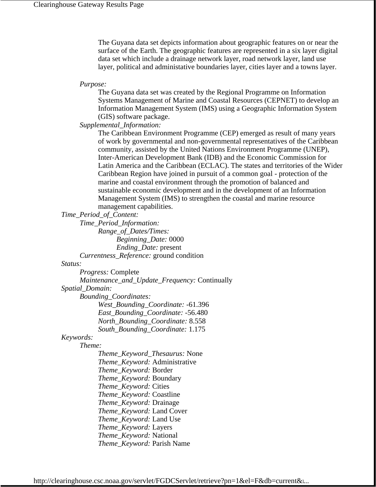The Guyana data set depicts information about geographic features on or near the surface of the Earth. The geographic features are represented in a six layer digital data set which include a drainage network layer, road network layer, land use layer, political and administative boundaries layer, cities layer and a towns layer.

*Purpose:*

The Guyana data set was created by the Regional Programme on Information Systems Management of Marine and Coastal Resources (CEPNET) to develop an Information Management System (IMS) using a Geographic Information System (GIS) software package.

*Supplemental\_Information:*

The Caribbean Environment Programme (CEP) emerged as result of many years of work by governmental and non-governmental representatives of the Caribbean community, assisted by the United Nations Environment Programme (UNEP), Inter-American Development Bank (IDB) and the Economic Commission for Latin America and the Caribbean (ECLAC). The states and territories of the Wider Caribbean Region have joined in pursuit of a common goal - protection of the marine and coastal environment through the promotion of balanced and sustainable economic development and in the development of an Information Management System (IMS) to strengthen the coastal and marine resource management capabilities.

*Time\_Period\_of\_Content:*

*Time\_Period\_Information: Range\_of\_Dates/Times: Beginning\_Date:* 0000 *Ending\_Date:* present *Currentness\_Reference:* ground condition

*Status:*

*Progress:* Complete

*Maintenance\_and\_Update\_Frequency:* Continually

*Spatial\_Domain:*

*Bounding\_Coordinates:*

*West\_Bounding\_Coordinate:* -61.396 *East\_Bounding\_Coordinate:* -56.480 *North\_Bounding\_Coordinate:* 8.558 *South\_Bounding\_Coordinate:* 1.175

#### *Keywords:*

*Theme:*

*Theme\_Keyword\_Thesaurus:* None *Theme\_Keyword:* Administrative *Theme\_Keyword:* Border *Theme\_Keyword:* Boundary *Theme\_Keyword:* Cities *Theme\_Keyword:* Coastline *Theme\_Keyword:* Drainage *Theme\_Keyword:* Land Cover *Theme\_Keyword:* Land Use *Theme\_Keyword:* Layers *Theme\_Keyword:* National *Theme\_Keyword:* Parish Name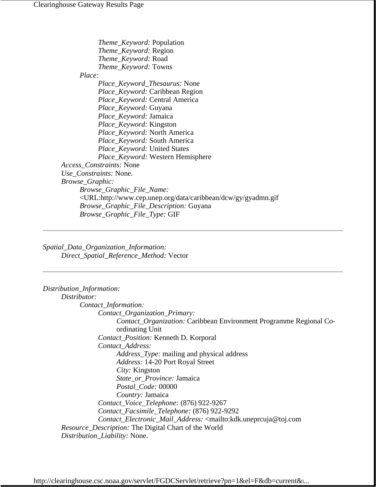*Theme\_Keyword:* Population *Theme\_Keyword:* Region *Theme\_Keyword:* Road *Theme\_Keyword:* Towns *Place: Place\_Keyword\_Thesaurus:* None *Place\_Keyword:* Caribbean Region *Place\_Keyword:* Central America *Place\_Keyword:* Guyana *Place\_Keyword:* Jamaica *Place\_Keyword:* Kingston *Place\_Keyword:* North America *Place\_Keyword:* South America *Place\_Keyword:* United States *Place\_Keyword:* Western Hemisphere *Access\_Constraints:* None *Use\_Constraints:* None. *Browse\_Graphic: Browse\_Graphic\_File\_Name:* <URL:http://www.cep.unep.org/data/caribbean/dcw/gy/gyadmn.gif *Browse\_Graphic\_File\_Description:* Guyana *Browse\_Graphic\_File\_Type:* GIF

*Spatial\_Data\_Organization\_Information: Direct\_Spatial\_Reference\_Method:* Vector

| Distribution_Information:                                                                              |
|--------------------------------------------------------------------------------------------------------|
| Distributor:                                                                                           |
| Contact_Information:                                                                                   |
| Contact_Organization_Primary:                                                                          |
| <i>Contact_Organization:</i> Caribbean Environment Programme Regional Co-<br>ordinating Unit           |
| Contact_Position: Kenneth D. Korporal                                                                  |
| Contact_Address:                                                                                       |
| <i>Address_Type:</i> mailing and physical address                                                      |
| Address: 14-20 Port Royal Street                                                                       |
| City: Kingston                                                                                         |
| State_or_Province: Jamaica                                                                             |
| Postal_Code: 00000                                                                                     |
| Country: Jamaica                                                                                       |
| Contact_Voice_Telephone: (876) 922-9267                                                                |
| Contact_Facsimile_Telephone: (876) 922-9292                                                            |
| Contact_Electronic_Mail_Address: <mailto:kdk.uneprcuja@toj.com< td=""></mailto:kdk.uneprcuja@toj.com<> |
| <i>Resource_Description:</i> The Digital Chart of the World                                            |
| Distribution_Liability: None.                                                                          |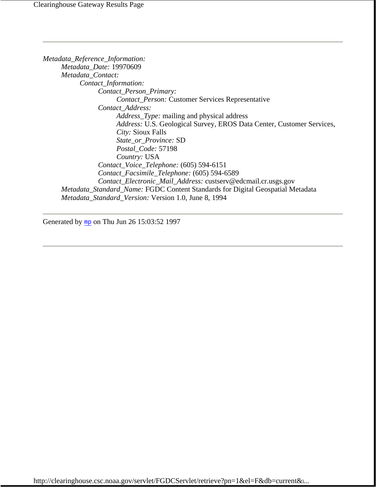*Metadata\_Reference\_Information: Metadata\_Date:* 19970609 *Metadata\_Contact: Contact\_Information: Contact\_Person\_Primary: Contact\_Person:* Customer Services Representative *Contact\_Address: Address\_Type:* mailing and physical address *Address:* U.S. Geological Survey, EROS Data Center, Customer Services, *City:* Sioux Falls *State\_or\_Province:* SD *Postal\_Code:* 57198 *Country:* USA *Contact\_Voice\_Telephone:* (605) 594-6151 *Contact\_Facsimile\_Telephone:* (605) 594-6589 *Contact\_Electronic\_Mail\_Address:* custserv@edcmail.cr.usgs.gov *Metadata\_Standard\_Name:* FGDC Content Standards for Digital Geospatial Metadata *Metadata\_Standard\_Version:* Version 1.0, June 8, 1994

Generated by mp on Thu Jun 26 15:03:52 1997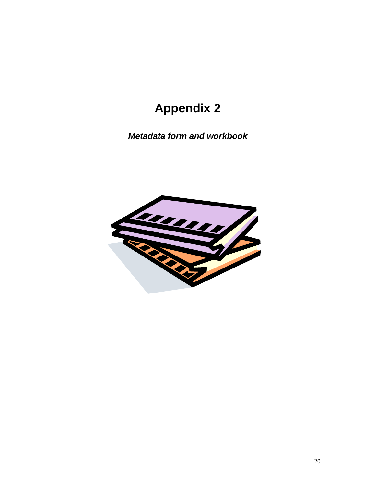# **Appendix 2**

<span id="page-20-0"></span>*Metadata form and workbook*

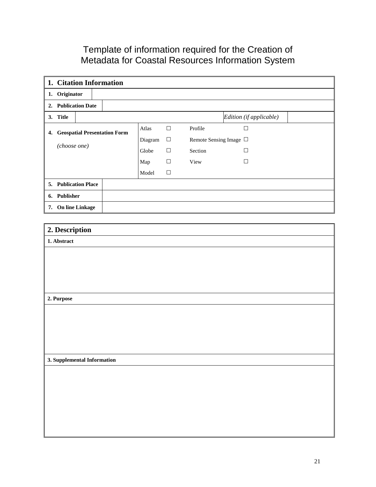### Template of information required for the Creation of Metadata for Coastal Resources Information System

| 1. Citation Information         |         |        |                                 |                         |  |
|---------------------------------|---------|--------|---------------------------------|-------------------------|--|
| 1. Originator                   |         |        |                                 |                         |  |
| 2. Publication Date             |         |        |                                 |                         |  |
| 3. Title                        |         |        |                                 | Edition (if applicable) |  |
| 4. Geospatial Presentation Form | Atlas   | $\Box$ | Profile                         | $\Box$                  |  |
|                                 | Diagram | $\Box$ | Remote Sensing Image $\,\Box\,$ |                         |  |
| (choose one)                    | Globe   | $\Box$ | Section                         | $\Box$                  |  |
|                                 | Map     | $\Box$ | View                            | $\Box$                  |  |
|                                 | Model   | $\Box$ |                                 |                         |  |
| 5. Publication Place            |         |        |                                 |                         |  |
| 6. Publisher                    |         |        |                                 |                         |  |
| 7. On line Linkage              |         |        |                                 |                         |  |
|                                 |         |        |                                 |                         |  |
| 2. Description                  |         |        |                                 |                         |  |
| 1. Abstract                     |         |        |                                 |                         |  |
|                                 |         |        |                                 |                         |  |
|                                 |         |        |                                 |                         |  |
|                                 |         |        |                                 |                         |  |
|                                 |         |        |                                 |                         |  |
| 2. Purpose                      |         |        |                                 |                         |  |
|                                 |         |        |                                 |                         |  |
|                                 |         |        |                                 |                         |  |
|                                 |         |        |                                 |                         |  |
|                                 |         |        |                                 |                         |  |
|                                 |         |        |                                 |                         |  |

**3. Supplemental Information**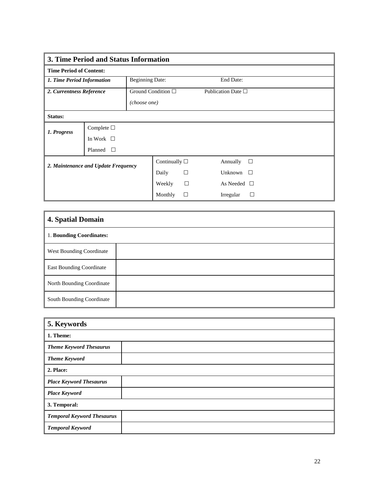| 3. Time Period and Status Information |                    |                       |                         |                    |                            |  |
|---------------------------------------|--------------------|-----------------------|-------------------------|--------------------|----------------------------|--|
| <b>Time Period of Content:</b>        |                    |                       |                         |                    |                            |  |
| 1. Time Period Information            |                    |                       | <b>Beginning Date:</b>  |                    | End Date:                  |  |
| 2. Currentness Reference              |                    |                       | Ground Condition $\Box$ |                    | Publication Date $\square$ |  |
|                                       |                    |                       | (choose one)            |                    |                            |  |
| Status:                               |                    |                       |                         |                    |                            |  |
| 1. Progress                           | Complete $\square$ |                       |                         |                    |                            |  |
|                                       | In Work $\Box$     |                       |                         |                    |                            |  |
|                                       | Planned<br>$\perp$ |                       |                         |                    |                            |  |
| 2. Maintenance and Update Frequency   |                    | Continually $\square$ |                         | Annually<br>$\Box$ |                            |  |
|                                       |                    | Daily                 | □                       | Unknown<br>$\perp$ |                            |  |
|                                       |                    |                       | Weekly                  | $\Box$             | As Needed $\Box$           |  |
|                                       |                    |                       | Monthly                 | □                  | Irregular<br>$\mathsf{L}$  |  |

| <b>4. Spatial Domain</b>        |  |
|---------------------------------|--|
| 1. Bounding Coordinates:        |  |
| <b>West Bounding Coordinate</b> |  |
| East Bounding Coordinate        |  |
| North Bounding Coordinate       |  |
| South Bounding Coordinate       |  |

| 5. Keywords                       |  |  |
|-----------------------------------|--|--|
| 1. Theme:                         |  |  |
| <b>Theme Keyword Thesaurus</b>    |  |  |
| <b>Theme Keyword</b>              |  |  |
| 2. Place:                         |  |  |
| <b>Place Keyword Thesaurus</b>    |  |  |
| <b>Place Keyword</b>              |  |  |
| 3. Temporal:                      |  |  |
| <b>Temporal Keyword Thesaurus</b> |  |  |
| <b>Temporal Keyword</b>           |  |  |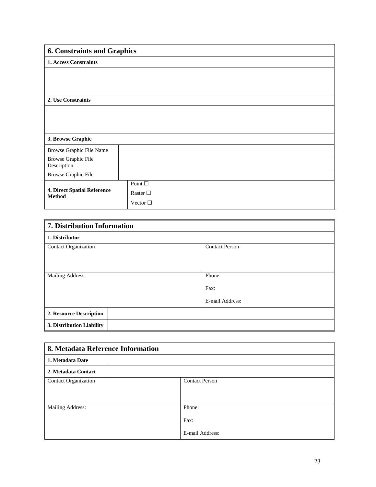| <b>6. Constraints and Graphics</b>           |                  |  |  |  |  |
|----------------------------------------------|------------------|--|--|--|--|
| <b>1. Access Constraints</b>                 |                  |  |  |  |  |
|                                              |                  |  |  |  |  |
|                                              |                  |  |  |  |  |
|                                              |                  |  |  |  |  |
| 2. Use Constraints                           |                  |  |  |  |  |
|                                              |                  |  |  |  |  |
|                                              |                  |  |  |  |  |
|                                              |                  |  |  |  |  |
|                                              |                  |  |  |  |  |
| 3. Browse Graphic                            |                  |  |  |  |  |
| Browse Graphic File Name                     |                  |  |  |  |  |
| <b>Browse Graphic File</b><br>Description    |                  |  |  |  |  |
|                                              |                  |  |  |  |  |
| <b>Browse Graphic File</b>                   |                  |  |  |  |  |
|                                              | Point $\square$  |  |  |  |  |
| 4. Direct Spatial Reference<br><b>Method</b> | Raster $\Box$    |  |  |  |  |
|                                              | Vector $\square$ |  |  |  |  |

| 7. Distribution Information |                       |  |
|-----------------------------|-----------------------|--|
| 1. Distributor              |                       |  |
| <b>Contact Organization</b> | <b>Contact Person</b> |  |
|                             |                       |  |
|                             |                       |  |
| Mailing Address:            | Phone:                |  |
|                             | Fax:                  |  |
|                             | E-mail Address:       |  |
| 2. Resource Description     |                       |  |
| 3. Distribution Liability   |                       |  |

| 8. Metadata Reference Information |                       |  |  |
|-----------------------------------|-----------------------|--|--|
| 1. Metadata Date                  |                       |  |  |
| 2. Metadata Contact               |                       |  |  |
| <b>Contact Organization</b>       | <b>Contact Person</b> |  |  |
| Mailing Address:                  | Phone:<br>Fax:        |  |  |
|                                   | E-mail Address:       |  |  |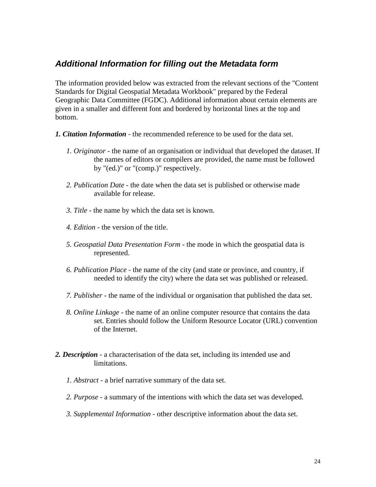#### <span id="page-24-0"></span>*Additional Information for filling out the Metadata form*

The information provided below was extracted from the relevant sections of the "Content Standards for Digital Geospatial Metadata Workbook" prepared by the Federal Geographic Data Committee (FGDC). Additional information about certain elements are given in a smaller and different font and bordered by horizontal lines at the top and bottom.

- *1. Citation Information* the recommended reference to be used for the data set.
	- *1. Originator* the name of an organisation or individual that developed the dataset. If the names of editors or compilers are provided, the name must be followed by "(ed.)" or "(comp.)" respectively.
	- *2. Publication Date* the date when the data set is published or otherwise made available for release.
	- *3. Title* the name by which the data set is known.
	- *4. Edition* the version of the title.
	- *5. Geospatial Data Presentation Form* the mode in which the geospatial data is represented.
	- *6. Publication Place* the name of the city (and state or province, and country, if needed to identify the city) where the data set was published or released.
	- *7. Publisher* the name of the individual or organisation that published the data set.
	- *8. Online Linkage* the name of an online computer resource that contains the data set. Entries should follow the Uniform Resource Locator (URL) convention of the Internet.
- *2. Description* a characterisation of the data set, including its intended use and limitations.
	- *1. Abstract* a brief narrative summary of the data set.
	- *2. Purpose* a summary of the intentions with which the data set was developed.
	- *3. Supplemental Information* other descriptive information about the data set.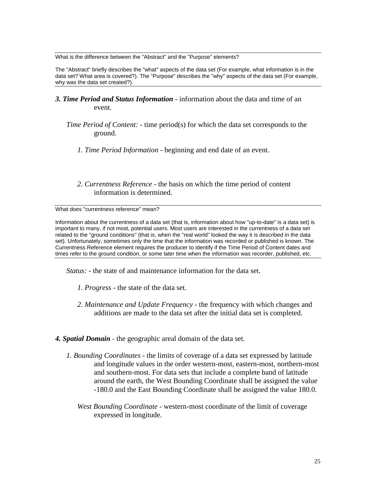What is the difference between the "Abstract" and the "Purpose" elements?

The "Abstract" briefly describes the "what" aspects of the data set (For example, what information is in the data set? What area is covered?). The "Purpose" describes the "why" aspects of the data set (For example, why was the data set created?).

- *3. Time Period and Status Information* information about the data and time of an event.
	- *Time Period of Content:* time period(s) for which the data set corresponds to the ground.
		- *1. Time Period Information* beginning and end date of an event.
		- *2. Currentness Reference* the basis on which the time period of content information is determined.

What does "currentness reference" mean?

Information about the currentness of a data set (that is, information about how "up-to-date" is a data set) is important to many, if not most, potential users. Most users are interested in the currentness of a data set related to the "ground conditions" (that is, when the "real world" looked the way it is described in the data set). Unfortunately, sometimes only the time that the information was recorded or published is known. The Currentness Reference element requires the producer to identify if the Time Period of Content dates and times refer to the ground condition, or some later time when the information was recorder, published, etc.

 *Status:* - the state of and maintenance information for the data set.

- *1. Progress* the state of the data set.
- *2. Maintenance and Update Frequency* the frequency with which changes and additions are made to the data set after the initial data set is completed.
- *4. Spatial Domain* the geographic areal domain of the data set.
	- *1. Bounding Coordinates* the limits of coverage of a data set expressed by latitude and longitude values in the order western-most, eastern-most, northern-most and southern-most. For data sets that include a complete band of latitude around the earth, the West Bounding Coordinate shall be assigned the value -180.0 and the East Bounding Coordinate shall be assigned the value 180.0.
		- *West Bounding Coordinate* western-most coordinate of the limit of coverage expressed in longitude.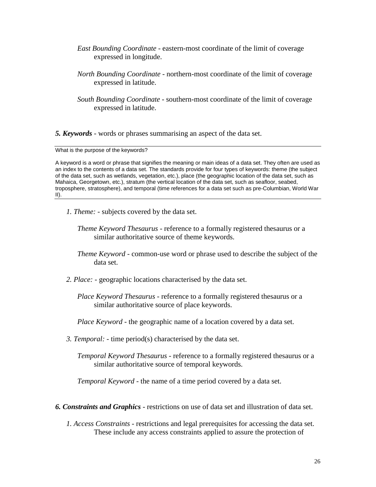- *East Bounding Coordinate* eastern-most coordinate of the limit of coverage expressed in longitude.
- *North Bounding Coordinate* northern-most coordinate of the limit of coverage expressed in latitude.
- *South Bounding Coordinate* southern-most coordinate of the limit of coverage expressed in latitude.

*5. Keywords* - words or phrases summarising an aspect of the data set.

What is the purpose of the keywords?

A keyword is a word or phrase that signifies the meaning or main ideas of a data set. They often are used as an index to the contents of a data set. The standards provide for four types of keywords: theme (the subject of the data set, such as wetlands, vegetation, etc.), place (the geographic location of the data set, such as Mahaica, Georgetown, etc.), stratum (the vertical location of the data set, such as seafloor, seabed, troposphere, stratosphere), and temporal (time references for a data set such as pre-Columbian, World War II).

*1. Theme:* - subjects covered by the data set.

*Theme Keyword Thesaurus* - reference to a formally registered thesaurus or a similar authoritative source of theme keywords.

- *Theme Keyword* common-use word or phrase used to describe the subject of the data set.
- *2. Place:* geographic locations characterised by the data set.

 *Place Keyword Thesaurus* - reference to a formally registered thesaurus or a similar authoritative source of place keywords.

*Place Keyword* - the geographic name of a location covered by a data set.

 *3. Temporal:* - time period(s) characterised by the data set.

 *Temporal Keyword Thesaurus* - reference to a formally registered thesaurus or a similar authoritative source of temporal keywords.

*Temporal Keyword* - the name of a time period covered by a data set.

- *6. Constraints and Graphics* restrictions on use of data set and illustration of data set.
	- *1. Access Constraints* restrictions and legal prerequisites for accessing the data set. These include any access constraints applied to assure the protection of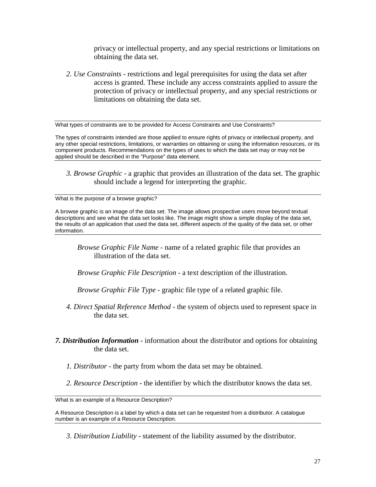privacy or intellectual property, and any special restrictions or limitations on obtaining the data set.

 *2. Use Constraints* - restrictions and legal prerequisites for using the data set after access is granted. These include any access constraints applied to assure the protection of privacy or intellectual property, and any special restrictions or limitations on obtaining the data set.

What types of constraints are to be provided for Access Constraints and Use Constraints?

The types of constraints intended are those applied to ensure rights of privacy or intellectual property, and any other special restrictions, limitations, or warranties on obtaining or using the information resources, or its component products. Recommendations on the types of uses to which the data set may or may not be applied should be described in the "Purpose" data element.

 *3. Browse Graphic* - a graphic that provides an illustration of the data set. The graphic should include a legend for interpreting the graphic.

What is the purpose of a browse graphic?

A browse graphic is an image of the data set. The image allows prospective users move beyond textual descriptions and see what the data set looks like. The image might show a simple display of the data set, the results of an application that used the data set, different aspects of the quality of the data set, or other information.

 *Browse Graphic File Name* - name of a related graphic file that provides an illustration of the data set.

*Browse Graphic File Description* - a text description of the illustration.

*Browse Graphic File Type* - graphic file type of a related graphic file.

- *4. Direct Spatial Reference Method* the system of objects used to represent space in the data set.
- *7. Distribution Information* information about the distributor and options for obtaining the data set.
	- *1. Distributor* the party from whom the data set may be obtained.
	- *2. Resource Description* the identifier by which the distributor knows the data set.

What is an example of a Resource Description?

A Resource Description is a label by which a data set can be requested from a distributor. A catalogue number is an example of a Resource Description.

 *3. Distribution Liability* - statement of the liability assumed by the distributor.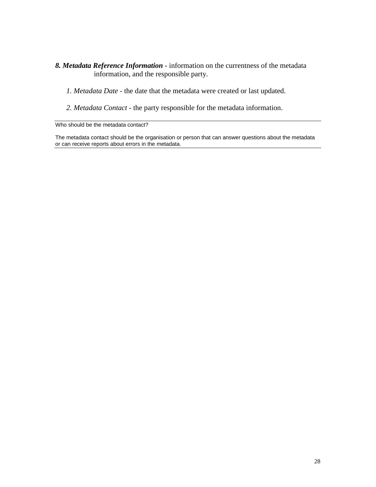#### *8. Metadata Reference Information* - information on the currentness of the metadata information, and the responsible party.

- *1. Metadata Date* the date that the metadata were created or last updated.
- *2. Metadata Contact* the party responsible for the metadata information.

Who should be the metadata contact?

The metadata contact should be the organisation or person that can answer questions about the metadata or can receive reports about errors in the metadata.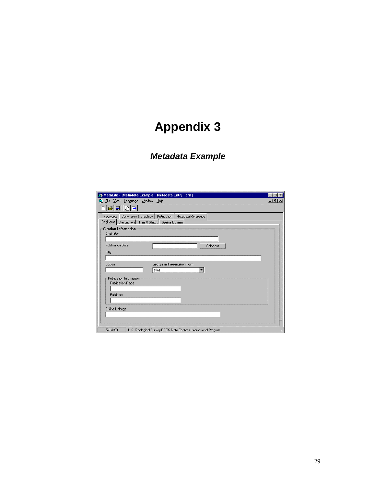# <span id="page-29-0"></span>**Appendix 3**

# *Metadata Example*

| MetaLite - [Metadata Example : Metadata Entry Form]                                                                                |               |
|------------------------------------------------------------------------------------------------------------------------------------|---------------|
| @ Eile View Language Window Help                                                                                                   | $  E  \times$ |
| mb<br>c di                                                                                                                         |               |
| Keywords   Constraints & Graphics   Distribution   Metadata Reference<br>Originator   Description   Time & Status   Spatial Domain |               |
| <b>Citation Information</b><br>Originator                                                                                          |               |
| Publication Date<br>Calendar                                                                                                       |               |
| Title                                                                                                                              |               |
| Edition<br>Geospatial Presentation Form<br>atlas                                                                                   |               |
| Publication Information<br><b>Publication Place</b>                                                                                |               |
| Publisher                                                                                                                          |               |
| Online Linkage                                                                                                                     |               |
| 5/14/98<br>U.S. Geological Survey EROS Data Center's International Program                                                         |               |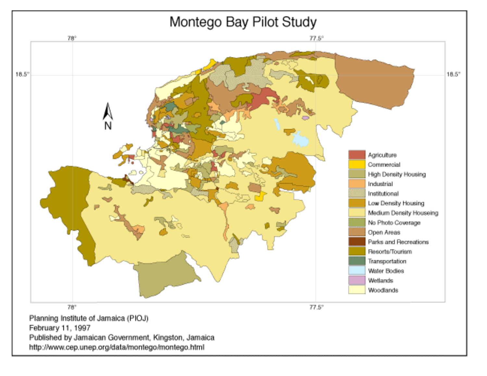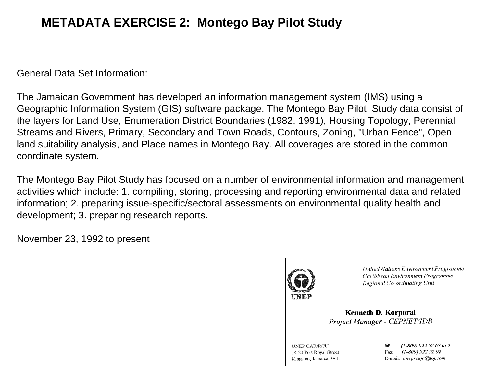# **METADATA EXERCISE 2: Montego Bay Pilot Study**

General Data Set Information:

The Jamaican Government has developed an information management system (IMS) using a Geographic Information System (GIS) software package. The Montego Bay Pilot Study data consist of the layers for Land Use, Enumeration District Boundaries (1982, 1991), Housing Topology, Perennial Streams and Rivers, Primary, Secondary and Town Roads, Contours, Zoning, "Urban Fence", Open land suitability analysis, and Place names in Montego Bay. All coverages are stored in the common coordinate system.

The Montego Bay Pilot Study has focused on a number of environmental information and management activities which include: 1. compiling, storing, processing and reporting environmental data and related information; 2. preparing issue-specific/sectoral assessments on environmental quality health and development; 3. preparing research reports.

November 23, 1992 to present



**United Nations Environment Programme** Caribbean Environment Programme Regional Co-ordinating Unit

**Kenneth D. Korporal** Project Manager - CEPNET/IDB

**UNEP CAR/RCU** 14-20 Port Royal Street Kingston, Jamaica, W.I.

 $(1-809)$  922 92 67 to 9 Fax: (1-809) 922 92 92 E-mail: uneprcuja@toj.com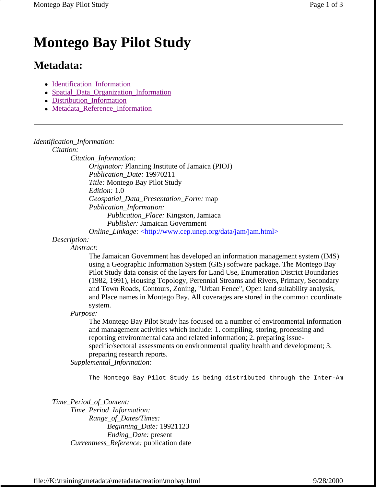# **Montego Bay Pilot Study**

# **Metadata:**

- Identification Information
- Spatial Data Organization Information
- Distribution\_Information
- Metadata Reference Information

#### *Identification\_Information:*

*Citation:*

*Citation\_Information: Originator:* Planning Institute of Jamaica (PIOJ) *Publication\_Date:* 19970211 *Title:* Montego Bay Pilot Study *Edition:* 1.0 *Geospatial\_Data\_Presentation\_Form:* map *Publication\_Information: Publication\_Place:* Kingston, Jamiaca *Publisher:* Jamaican Government *Online\_Linkage:* <http://www.cep.unep.org/data/jam/jam.html>

*Description:*

*Abstract:*

The Jamaican Government has developed an information management system (IMS) using a Geographic Information System (GIS) software package. The Montego Bay Pilot Study data consist of the layers for Land Use, Enumeration District Boundaries (1982, 1991), Housing Topology, Perennial Streams and Rivers, Primary, Secondary and Town Roads, Contours, Zoning, "Urban Fence", Open land suitability analysis, and Place names in Montego Bay. All coverages are stored in the common coordinate system.

*Purpose:*

The Montego Bay Pilot Study has focused on a number of environmental information and management activities which include: 1. compiling, storing, processing and reporting environmental data and related information; 2. preparing issuespecific/sectoral assessments on environmental quality health and development; 3. preparing research reports.

*Supplemental\_Information:*

The Montego Bay Pilot Study is being distributed through the Inter-Am

*Time\_Period\_of\_Content: Time\_Period\_Information: Range\_of\_Dates/Times: Beginning\_Date:* 19921123 *Ending\_Date:* present *Currentness\_Reference:* publication date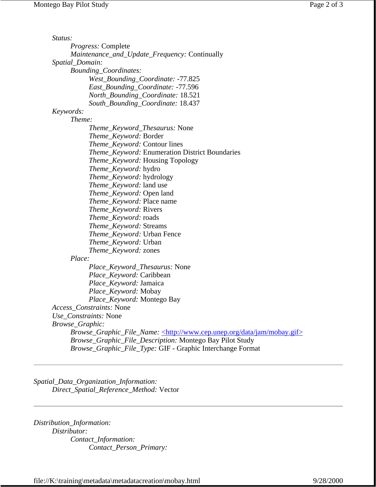| Status:         |                                                                                           |
|-----------------|-------------------------------------------------------------------------------------------|
|                 | <i>Progress:</i> Complete                                                                 |
|                 | <i>Maintenance_and_Update_Frequency: Continually</i>                                      |
| Spatial_Domain: |                                                                                           |
|                 | <b>Bounding_Coordinates:</b>                                                              |
|                 | West_Bounding_Coordinate: -77.825                                                         |
|                 | East_Bounding_Coordinate: -77.596                                                         |
|                 | North_Bounding_Coordinate: 18.521                                                         |
|                 | South_Bounding_Coordinate: 18.437                                                         |
| Keywords:       |                                                                                           |
|                 | Theme:                                                                                    |
|                 | <i>Theme_Keyword_Thesaurus: None</i>                                                      |
|                 | <i>Theme_Keyword: Border</i>                                                              |
|                 | <i>Theme_Keyword:</i> Contour lines                                                       |
|                 | <i>Theme_Keyword:</i> Enumeration District Boundaries                                     |
|                 | <i>Theme_Keyword:</i> Housing Topology                                                    |
|                 | <i>Theme_Keyword:</i> hydro                                                               |
|                 | Theme_Keyword: hydrology                                                                  |
|                 | Theme_Keyword: land use                                                                   |
|                 | <i>Theme_Keyword:</i> Open land                                                           |
|                 | <i>Theme_Keyword: Place name</i>                                                          |
|                 | <i>Theme_Keyword: Rivers</i>                                                              |
|                 | Theme_Keyword: roads                                                                      |
|                 | Theme_Keyword: Streams                                                                    |
|                 | <i>Theme_Keyword:</i> Urban Fence                                                         |
|                 | <i>Theme_Keyword:</i> Urban                                                               |
|                 | Theme_Keyword: zones                                                                      |
|                 | Place:                                                                                    |
|                 | <i>Place_Keyword_Thesaurus: None</i>                                                      |
|                 | <i>Place_Keyword:</i> Caribbean                                                           |
|                 | Place_Keyword: Jamaica                                                                    |
|                 | Place_Keyword: Mobay                                                                      |
|                 | Place_Keyword: Montego Bay                                                                |
|                 | <i>Access Constraints:</i> None                                                           |
|                 | Use_Constraints: None                                                                     |
| Browse_Graphic: |                                                                                           |
|                 | Browse_Graphic_File_Name: <http: data="" jam="" mobay.gif="" www.cep.unep.org=""></http:> |
|                 | Browse_Graphic_File_Description: Montego Bay Pilot Study                                  |
|                 | Browse_Graphic_File_Type: GIF - Graphic Interchange Format                                |
|                 |                                                                                           |

*Spatial\_Data\_Organization\_Information: Direct\_Spatial\_Reference\_Method:* Vector

*Distribution\_Information: Distributor: Contact\_Information: Contact\_Person\_Primary:*

file://K:\training\metadata\metadatacreation\mobay.html 9/28/2000